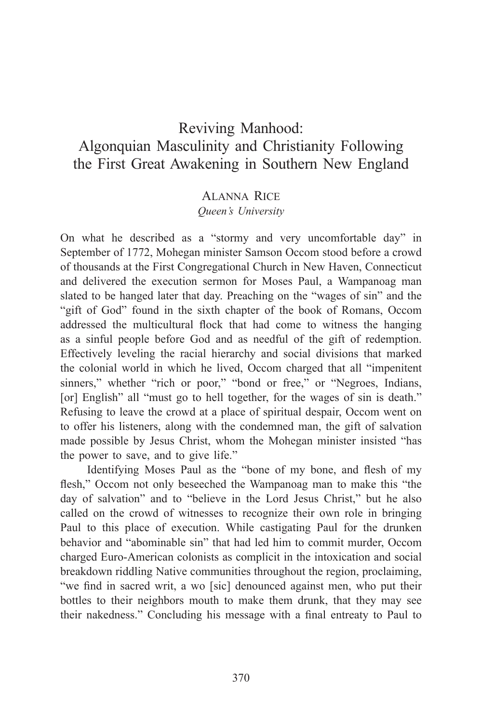# Reviving Manhood: Algonquian Masculinity and Christianity Following the First Great Awakening in Southern New England

## Alanna Rice

## *Queen's University*

On what he described as a "stormy and very uncomfortable day" in September of 1772, Mohegan minister Samson Occom stood before a crowd of thousands at the First Congregational Church in New Haven, Connecticut and delivered the execution sermon for Moses Paul, a Wampanoag man slated to be hanged later that day. Preaching on the "wages of sin" and the "gift of God" found in the sixth chapter of the book of Romans, Occom addressed the multicultural flock that had come to witness the hanging as a sinful people before God and as needful of the gift of redemption. Effectively leveling the racial hierarchy and social divisions that marked the colonial world in which he lived, Occom charged that all "impenitent sinners," whether "rich or poor," "bond or free," or "Negroes, Indians, [or] English" all "must go to hell together, for the wages of sin is death." Refusing to leave the crowd at a place of spiritual despair, Occom went on to offer his listeners, along with the condemned man, the gift of salvation made possible by Jesus Christ, whom the Mohegan minister insisted "has the power to save, and to give life."

Identifying Moses Paul as the "bone of my bone, and flesh of my flesh," Occom not only beseeched the Wampanoag man to make this "the day of salvation" and to "believe in the Lord Jesus Christ," but he also called on the crowd of witnesses to recognize their own role in bringing Paul to this place of execution. While castigating Paul for the drunken behavior and "abominable sin" that had led him to commit murder, Occom charged Euro-American colonists as complicit in the intoxication and social breakdown riddling Native communities throughout the region, proclaiming, "we find in sacred writ, a wo [sic] denounced against men, who put their bottles to their neighbors mouth to make them drunk, that they may see their nakedness." Concluding his message with a final entreaty to Paul to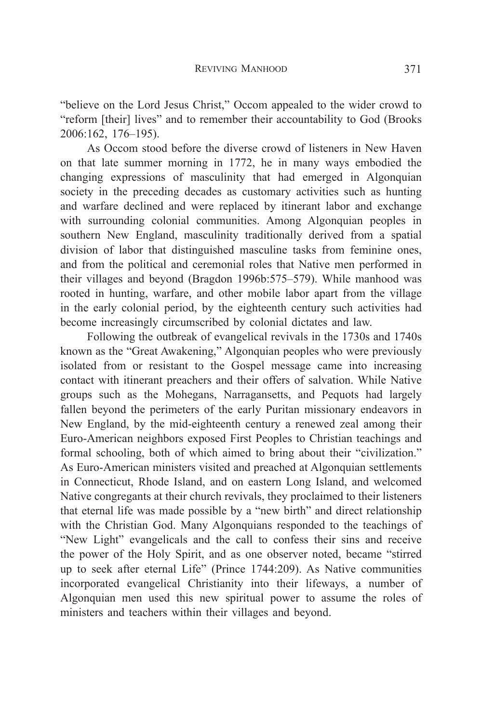"believe on the Lord Jesus Christ," Occom appealed to the wider crowd to "reform [their] lives" and to remember their accountability to God (Brooks 2006:162, 176–195).

As Occom stood before the diverse crowd of listeners in New Haven on that late summer morning in 1772, he in many ways embodied the changing expressions of masculinity that had emerged in Algonquian society in the preceding decades as customary activities such as hunting and warfare declined and were replaced by itinerant labor and exchange with surrounding colonial communities. Among Algonquian peoples in southern New England, masculinity traditionally derived from a spatial division of labor that distinguished masculine tasks from feminine ones, and from the political and ceremonial roles that Native men performed in their villages and beyond (Bragdon 1996b:575–579). While manhood was rooted in hunting, warfare, and other mobile labor apart from the village in the early colonial period, by the eighteenth century such activities had become increasingly circumscribed by colonial dictates and law.

Following the outbreak of evangelical revivals in the 1730s and 1740s known as the "Great Awakening," Algonquian peoples who were previously isolated from or resistant to the Gospel message came into increasing contact with itinerant preachers and their offers of salvation. While Native groups such as the Mohegans, Narragansetts, and Pequots had largely fallen beyond the perimeters of the early Puritan missionary endeavors in New England, by the mid-eighteenth century a renewed zeal among their Euro-American neighbors exposed First Peoples to Christian teachings and formal schooling, both of which aimed to bring about their "civilization." As Euro-American ministers visited and preached at Algonquian settlements in Connecticut, Rhode Island, and on eastern Long Island, and welcomed Native congregants at their church revivals, they proclaimed to their listeners that eternal life was made possible by a "new birth" and direct relationship with the Christian God. Many Algonquians responded to the teachings of "New Light" evangelicals and the call to confess their sins and receive the power of the Holy Spirit, and as one observer noted, became "stirred up to seek after eternal Life" (Prince 1744:209). As Native communities incorporated evangelical Christianity into their lifeways, a number of Algonquian men used this new spiritual power to assume the roles of ministers and teachers within their villages and beyond.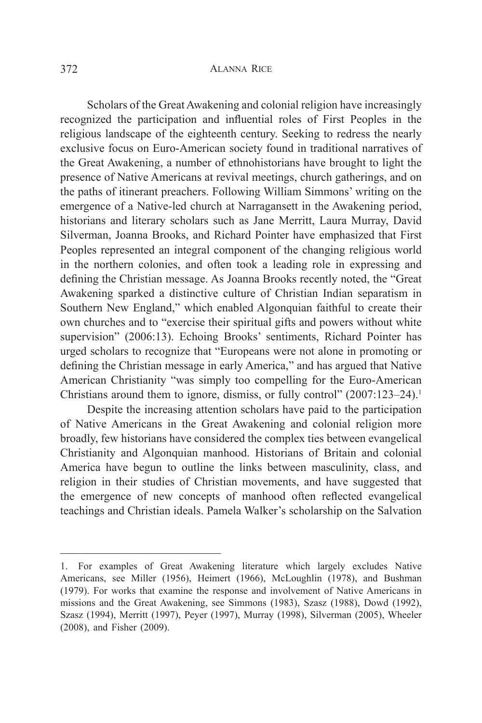#### 372 Alanna Rice

Scholars of the Great Awakening and colonial religion have increasingly recognized the participation and influential roles of First Peoples in the religious landscape of the eighteenth century. Seeking to redress the nearly exclusive focus on Euro-American society found in traditional narratives of the Great Awakening, a number of ethnohistorians have brought to light the presence of Native Americans at revival meetings, church gatherings, and on the paths of itinerant preachers. Following William Simmons' writing on the emergence of a Native-led church at Narragansett in the Awakening period, historians and literary scholars such as Jane Merritt, Laura Murray, David Silverman, Joanna Brooks, and Richard Pointer have emphasized that First Peoples represented an integral component of the changing religious world in the northern colonies, and often took a leading role in expressing and defining the Christian message. As Joanna Brooks recently noted, the "Great Awakening sparked a distinctive culture of Christian Indian separatism in Southern New England," which enabled Algonquian faithful to create their own churches and to "exercise their spiritual gifts and powers without white supervision" (2006:13). Echoing Brooks' sentiments, Richard Pointer has urged scholars to recognize that "Europeans were not alone in promoting or defining the Christian message in early America," and has argued that Native American Christianity "was simply too compelling for the Euro-American Christians around them to ignore, dismiss, or fully control" (2007:123–24).<sup>1</sup>

Despite the increasing attention scholars have paid to the participation of Native Americans in the Great Awakening and colonial religion more broadly, few historians have considered the complex ties between evangelical Christianity and Algonquian manhood. Historians of Britain and colonial America have begun to outline the links between masculinity, class, and religion in their studies of Christian movements, and have suggested that the emergence of new concepts of manhood often reflected evangelical teachings and Christian ideals. Pamela Walker's scholarship on the Salvation

<sup>1.</sup> For examples of Great Awakening literature which largely excludes Native Americans, see Miller (1956), Heimert (1966), McLoughlin (1978), and Bushman (1979). For works that examine the response and involvement of Native Americans in missions and the Great Awakening, see Simmons (1983), Szasz (1988), Dowd (1992), Szasz (1994), Merritt (1997), Peyer (1997), Murray (1998), Silverman (2005), Wheeler (2008), and Fisher (2009).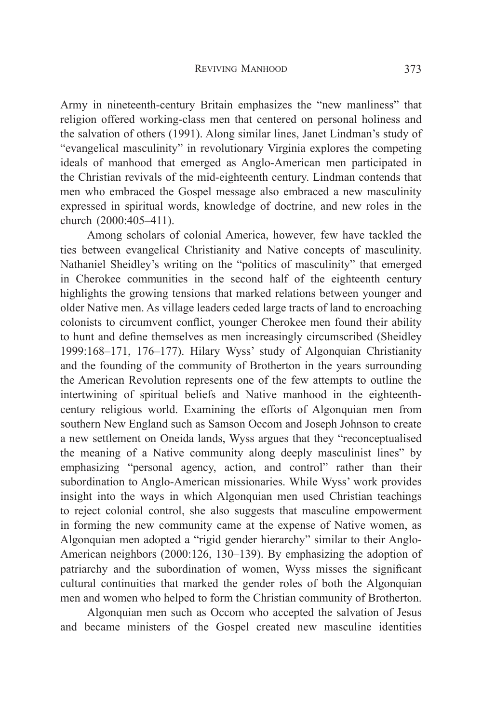Army in nineteenth-century Britain emphasizes the "new manliness" that religion offered working-class men that centered on personal holiness and the salvation of others (1991). Along similar lines, Janet Lindman's study of "evangelical masculinity" in revolutionary Virginia explores the competing ideals of manhood that emerged as Anglo-American men participated in the Christian revivals of the mid-eighteenth century. Lindman contends that men who embraced the Gospel message also embraced a new masculinity expressed in spiritual words, knowledge of doctrine, and new roles in the church (2000:405–411).

Among scholars of colonial America, however, few have tackled the ties between evangelical Christianity and Native concepts of masculinity. Nathaniel Sheidley's writing on the "politics of masculinity" that emerged in Cherokee communities in the second half of the eighteenth century highlights the growing tensions that marked relations between younger and older Native men. As village leaders ceded large tracts of land to encroaching colonists to circumvent conflict, younger Cherokee men found their ability to hunt and define themselves as men increasingly circumscribed (Sheidley 1999:168–171, 176–177). Hilary Wyss' study of Algonquian Christianity and the founding of the community of Brotherton in the years surrounding the American Revolution represents one of the few attempts to outline the intertwining of spiritual beliefs and Native manhood in the eighteenthcentury religious world. Examining the efforts of Algonquian men from southern New England such as Samson Occom and Joseph Johnson to create a new settlement on Oneida lands, Wyss argues that they "reconceptualised the meaning of a Native community along deeply masculinist lines" by emphasizing "personal agency, action, and control" rather than their subordination to Anglo-American missionaries. While Wyss' work provides insight into the ways in which Algonquian men used Christian teachings to reject colonial control, she also suggests that masculine empowerment in forming the new community came at the expense of Native women, as Algonquian men adopted a "rigid gender hierarchy" similar to their Anglo-American neighbors (2000:126, 130–139). By emphasizing the adoption of patriarchy and the subordination of women, Wyss misses the significant cultural continuities that marked the gender roles of both the Algonquian men and women who helped to form the Christian community of Brotherton.

Algonquian men such as Occom who accepted the salvation of Jesus and became ministers of the Gospel created new masculine identities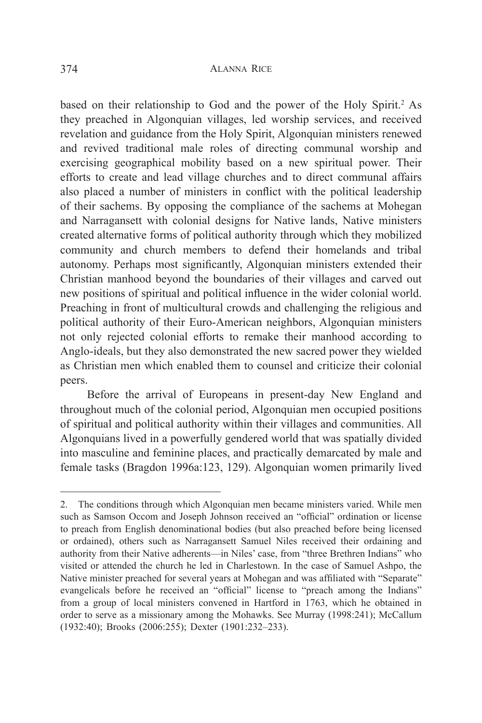based on their relationship to God and the power of the Holy Spirit.<sup>2</sup> As they preached in Algonquian villages, led worship services, and received revelation and guidance from the Holy Spirit, Algonquian ministers renewed and revived traditional male roles of directing communal worship and exercising geographical mobility based on a new spiritual power. Their efforts to create and lead village churches and to direct communal affairs also placed a number of ministers in conflict with the political leadership of their sachems. By opposing the compliance of the sachems at Mohegan and Narragansett with colonial designs for Native lands, Native ministers created alternative forms of political authority through which they mobilized community and church members to defend their homelands and tribal autonomy. Perhaps most significantly, Algonquian ministers extended their Christian manhood beyond the boundaries of their villages and carved out new positions of spiritual and political influence in the wider colonial world. Preaching in front of multicultural crowds and challenging the religious and political authority of their Euro-American neighbors, Algonquian ministers not only rejected colonial efforts to remake their manhood according to Anglo-ideals, but they also demonstrated the new sacred power they wielded as Christian men which enabled them to counsel and criticize their colonial peers.

Before the arrival of Europeans in present-day New England and throughout much of the colonial period, Algonquian men occupied positions of spiritual and political authority within their villages and communities. All Algonquians lived in a powerfully gendered world that was spatially divided into masculine and feminine places, and practically demarcated by male and female tasks (Bragdon 1996a:123, 129). Algonquian women primarily lived

<sup>2.</sup> The conditions through which Algonquian men became ministers varied. While men such as Samson Occom and Joseph Johnson received an "official" ordination or license to preach from English denominational bodies (but also preached before being licensed or ordained), others such as Narragansett Samuel Niles received their ordaining and authority from their Native adherents—in Niles' case, from "three Brethren Indians" who visited or attended the church he led in Charlestown. In the case of Samuel Ashpo, the Native minister preached for several years at Mohegan and was affiliated with "Separate" evangelicals before he received an "official" license to "preach among the Indians" from a group of local ministers convened in Hartford in 1763, which he obtained in order to serve as a missionary among the Mohawks. See Murray (1998:241); McCallum (1932:40); Brooks (2006:255); Dexter (1901:232–233).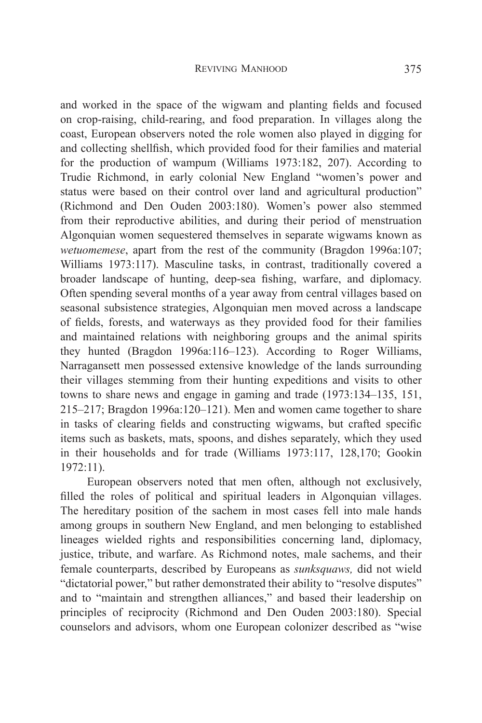and worked in the space of the wigwam and planting fields and focused on crop-raising, child-rearing, and food preparation. In villages along the coast, European observers noted the role women also played in digging for and collecting shellfish, which provided food for their families and material for the production of wampum (Williams 1973:182, 207). According to Trudie Richmond, in early colonial New England "women's power and status were based on their control over land and agricultural production" (Richmond and Den Ouden 2003:180). Women's power also stemmed from their reproductive abilities, and during their period of menstruation Algonquian women sequestered themselves in separate wigwams known as *wetuomemese*, apart from the rest of the community (Bragdon 1996a:107; Williams 1973:117). Masculine tasks, in contrast, traditionally covered a broader landscape of hunting, deep-sea fishing, warfare, and diplomacy. Often spending several months of a year away from central villages based on seasonal subsistence strategies, Algonquian men moved across a landscape of fields, forests, and waterways as they provided food for their families and maintained relations with neighboring groups and the animal spirits they hunted (Bragdon 1996a:116–123). According to Roger Williams, Narragansett men possessed extensive knowledge of the lands surrounding their villages stemming from their hunting expeditions and visits to other towns to share news and engage in gaming and trade (1973:134–135, 151, 215–217; Bragdon 1996a:120–121). Men and women came together to share in tasks of clearing fields and constructing wigwams, but crafted specific items such as baskets, mats, spoons, and dishes separately, which they used in their households and for trade (Williams 1973:117, 128,170; Gookin 1972:11).

European observers noted that men often, although not exclusively, filled the roles of political and spiritual leaders in Algonquian villages. The hereditary position of the sachem in most cases fell into male hands among groups in southern New England, and men belonging to established lineages wielded rights and responsibilities concerning land, diplomacy, justice, tribute, and warfare. As Richmond notes, male sachems, and their female counterparts, described by Europeans as *sunksquaws,* did not wield "dictatorial power," but rather demonstrated their ability to "resolve disputes" and to "maintain and strengthen alliances," and based their leadership on principles of reciprocity (Richmond and Den Ouden 2003:180). Special counselors and advisors, whom one European colonizer described as "wise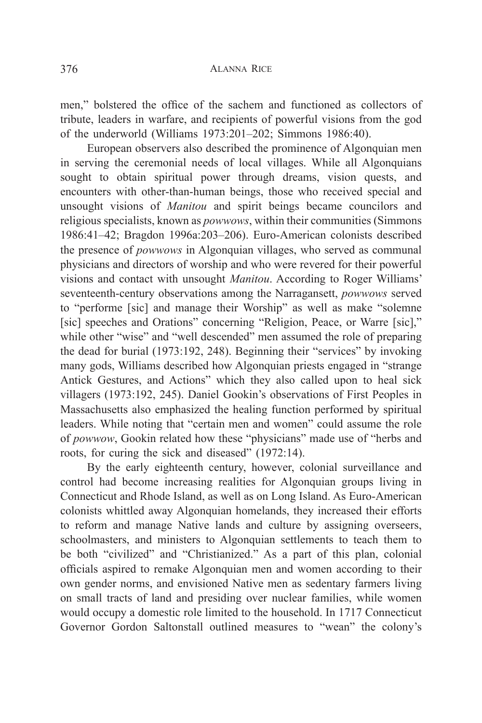men," bolstered the office of the sachem and functioned as collectors of tribute, leaders in warfare, and recipients of powerful visions from the god of the underworld (Williams 1973:201–202; Simmons 1986:40).

European observers also described the prominence of Algonquian men in serving the ceremonial needs of local villages. While all Algonquians sought to obtain spiritual power through dreams, vision quests, and encounters with other-than-human beings, those who received special and unsought visions of *Manitou* and spirit beings became councilors and religious specialists, known as *powwows*, within their communities (Simmons 1986:41–42; Bragdon 1996a:203–206). Euro-American colonists described the presence of *powwows* in Algonquian villages, who served as communal physicians and directors of worship and who were revered for their powerful visions and contact with unsought *Manitou*. According to Roger Williams' seventeenth-century observations among the Narragansett, *powwows* served to "performe [sic] and manage their Worship" as well as make "solemne [sic] speeches and Orations" concerning "Religion, Peace, or Warre [sic]," while other "wise" and "well descended" men assumed the role of preparing the dead for burial (1973:192, 248). Beginning their "services" by invoking many gods, Williams described how Algonquian priests engaged in "strange Antick Gestures, and Actions" which they also called upon to heal sick villagers (1973:192, 245). Daniel Gookin's observations of First Peoples in Massachusetts also emphasized the healing function performed by spiritual leaders. While noting that "certain men and women" could assume the role of *powwow*, Gookin related how these "physicians" made use of "herbs and roots, for curing the sick and diseased" (1972:14).

By the early eighteenth century, however, colonial surveillance and control had become increasing realities for Algonquian groups living in Connecticut and Rhode Island, as well as on Long Island. As Euro-American colonists whittled away Algonquian homelands, they increased their efforts to reform and manage Native lands and culture by assigning overseers, schoolmasters, and ministers to Algonquian settlements to teach them to be both "civilized" and "Christianized." As a part of this plan, colonial officials aspired to remake Algonquian men and women according to their own gender norms, and envisioned Native men as sedentary farmers living on small tracts of land and presiding over nuclear families, while women would occupy a domestic role limited to the household. In 1717 Connecticut Governor Gordon Saltonstall outlined measures to "wean" the colony's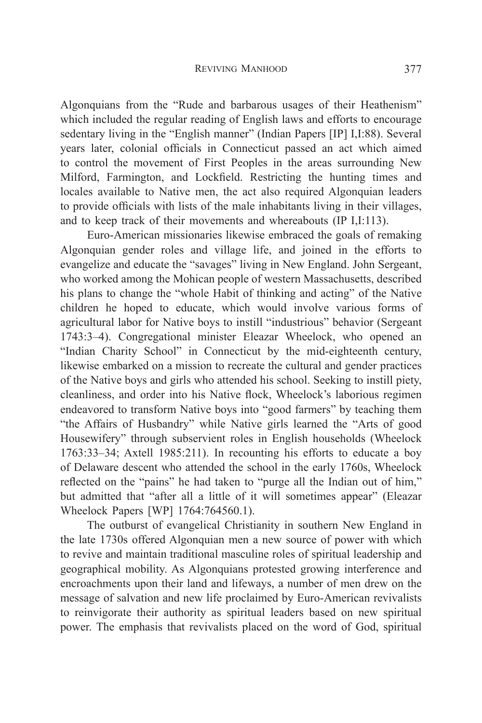Algonquians from the "Rude and barbarous usages of their Heathenism" which included the regular reading of English laws and efforts to encourage sedentary living in the "English manner" (Indian Papers [IP] I,I:88). Several years later, colonial officials in Connecticut passed an act which aimed to control the movement of First Peoples in the areas surrounding New Milford, Farmington, and Lockfield. Restricting the hunting times and locales available to Native men, the act also required Algonquian leaders to provide officials with lists of the male inhabitants living in their villages, and to keep track of their movements and whereabouts (IP I,I:113).

Euro-American missionaries likewise embraced the goals of remaking Algonquian gender roles and village life, and joined in the efforts to evangelize and educate the "savages" living in New England. John Sergeant, who worked among the Mohican people of western Massachusetts, described his plans to change the "whole Habit of thinking and acting" of the Native children he hoped to educate, which would involve various forms of agricultural labor for Native boys to instill "industrious" behavior (Sergeant 1743:3–4). Congregational minister Eleazar Wheelock, who opened an "Indian Charity School" in Connecticut by the mid-eighteenth century, likewise embarked on a mission to recreate the cultural and gender practices of the Native boys and girls who attended his school. Seeking to instill piety, cleanliness, and order into his Native flock, Wheelock's laborious regimen endeavored to transform Native boys into "good farmers" by teaching them "the Affairs of Husbandry" while Native girls learned the "Arts of good Housewifery" through subservient roles in English households (Wheelock 1763:33–34; Axtell 1985:211). In recounting his efforts to educate a boy of Delaware descent who attended the school in the early 1760s, Wheelock reflected on the "pains" he had taken to "purge all the Indian out of him," but admitted that "after all a little of it will sometimes appear" (Eleazar Wheelock Papers [WP] 1764:764560.1).

The outburst of evangelical Christianity in southern New England in the late 1730s offered Algonquian men a new source of power with which to revive and maintain traditional masculine roles of spiritual leadership and geographical mobility. As Algonquians protested growing interference and encroachments upon their land and lifeways, a number of men drew on the message of salvation and new life proclaimed by Euro-American revivalists to reinvigorate their authority as spiritual leaders based on new spiritual power. The emphasis that revivalists placed on the word of God, spiritual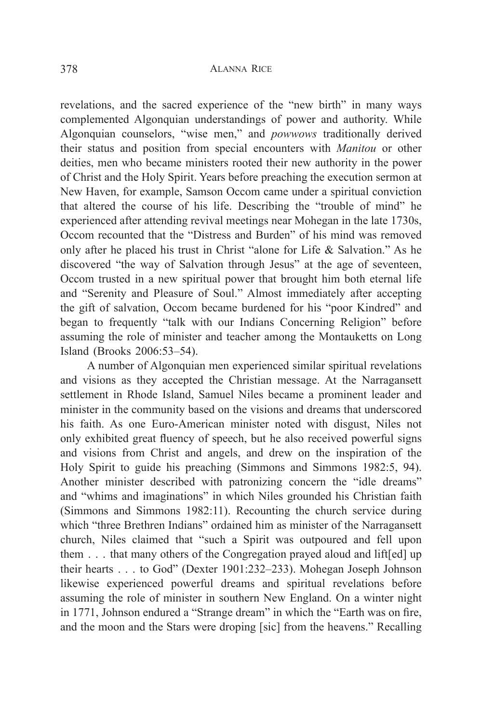#### 378 Alanna Rice

revelations, and the sacred experience of the "new birth" in many ways complemented Algonquian understandings of power and authority. While Algonquian counselors, "wise men," and *powwows* traditionally derived their status and position from special encounters with *Manitou* or other deities, men who became ministers rooted their new authority in the power of Christ and the Holy Spirit. Years before preaching the execution sermon at New Haven, for example, Samson Occom came under a spiritual conviction that altered the course of his life. Describing the "trouble of mind" he experienced after attending revival meetings near Mohegan in the late 1730s, Occom recounted that the "Distress and Burden" of his mind was removed only after he placed his trust in Christ "alone for Life & Salvation." As he discovered "the way of Salvation through Jesus" at the age of seventeen, Occom trusted in a new spiritual power that brought him both eternal life and "Serenity and Pleasure of Soul." Almost immediately after accepting the gift of salvation, Occom became burdened for his "poor Kindred" and began to frequently "talk with our Indians Concerning Religion" before assuming the role of minister and teacher among the Montauketts on Long Island (Brooks 2006:53–54).

A number of Algonquian men experienced similar spiritual revelations and visions as they accepted the Christian message. At the Narragansett settlement in Rhode Island, Samuel Niles became a prominent leader and minister in the community based on the visions and dreams that underscored his faith. As one Euro-American minister noted with disgust, Niles not only exhibited great fluency of speech, but he also received powerful signs and visions from Christ and angels, and drew on the inspiration of the Holy Spirit to guide his preaching (Simmons and Simmons 1982:5, 94). Another minister described with patronizing concern the "idle dreams" and "whims and imaginations" in which Niles grounded his Christian faith (Simmons and Simmons 1982:11). Recounting the church service during which "three Brethren Indians" ordained him as minister of the Narragansett church, Niles claimed that "such a Spirit was outpoured and fell upon them . . . that many others of the Congregation prayed aloud and lift[ed] up their hearts . . . to God" (Dexter 1901:232–233). Mohegan Joseph Johnson likewise experienced powerful dreams and spiritual revelations before assuming the role of minister in southern New England. On a winter night in 1771, Johnson endured a "Strange dream" in which the "Earth was on fire, and the moon and the Stars were droping [sic] from the heavens." Recalling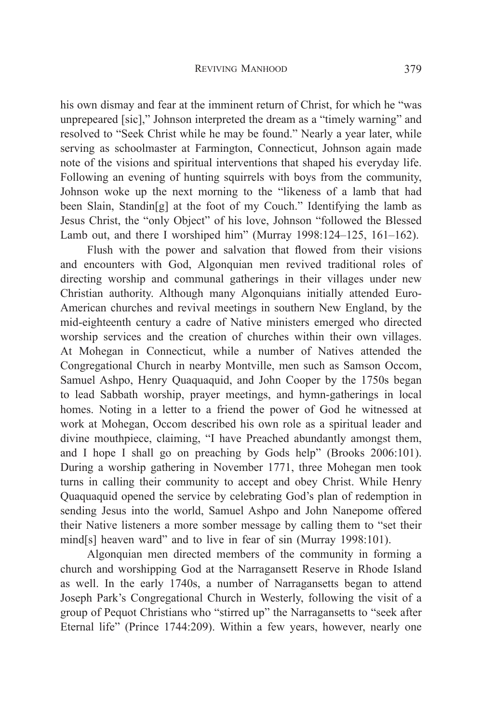his own dismay and fear at the imminent return of Christ, for which he "was unprepeared [sic]," Johnson interpreted the dream as a "timely warning" and resolved to "Seek Christ while he may be found." Nearly a year later, while serving as schoolmaster at Farmington, Connecticut, Johnson again made note of the visions and spiritual interventions that shaped his everyday life. Following an evening of hunting squirrels with boys from the community, Johnson woke up the next morning to the "likeness of a lamb that had been Slain, Standin[g] at the foot of my Couch." Identifying the lamb as Jesus Christ, the "only Object" of his love, Johnson "followed the Blessed Lamb out, and there I worshiped him" (Murray 1998:124–125, 161–162).

Flush with the power and salvation that flowed from their visions and encounters with God, Algonquian men revived traditional roles of directing worship and communal gatherings in their villages under new Christian authority. Although many Algonquians initially attended Euro-American churches and revival meetings in southern New England, by the mid-eighteenth century a cadre of Native ministers emerged who directed worship services and the creation of churches within their own villages. At Mohegan in Connecticut, while a number of Natives attended the Congregational Church in nearby Montville, men such as Samson Occom, Samuel Ashpo, Henry Quaquaquid, and John Cooper by the 1750s began to lead Sabbath worship, prayer meetings, and hymn-gatherings in local homes. Noting in a letter to a friend the power of God he witnessed at work at Mohegan, Occom described his own role as a spiritual leader and divine mouthpiece, claiming, "I have Preached abundantly amongst them, and I hope I shall go on preaching by Gods help" (Brooks 2006:101). During a worship gathering in November 1771, three Mohegan men took turns in calling their community to accept and obey Christ. While Henry Quaquaquid opened the service by celebrating God's plan of redemption in sending Jesus into the world, Samuel Ashpo and John Nanepome offered their Native listeners a more somber message by calling them to "set their mind[s] heaven ward" and to live in fear of sin (Murray 1998:101).

Algonquian men directed members of the community in forming a church and worshipping God at the Narragansett Reserve in Rhode Island as well. In the early 1740s, a number of Narragansetts began to attend Joseph Park's Congregational Church in Westerly, following the visit of a group of Pequot Christians who "stirred up" the Narragansetts to "seek after Eternal life" (Prince 1744:209). Within a few years, however, nearly one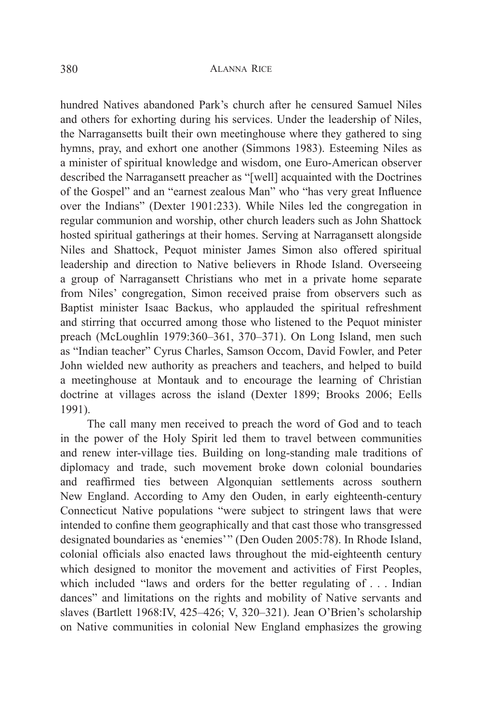hundred Natives abandoned Park's church after he censured Samuel Niles and others for exhorting during his services. Under the leadership of Niles, the Narragansetts built their own meetinghouse where they gathered to sing hymns, pray, and exhort one another (Simmons 1983). Esteeming Niles as a minister of spiritual knowledge and wisdom, one Euro-American observer described the Narragansett preacher as "[well] acquainted with the Doctrines of the Gospel" and an "earnest zealous Man" who "has very great Influence over the Indians" (Dexter 1901:233). While Niles led the congregation in regular communion and worship, other church leaders such as John Shattock hosted spiritual gatherings at their homes. Serving at Narragansett alongside Niles and Shattock, Pequot minister James Simon also offered spiritual leadership and direction to Native believers in Rhode Island. Overseeing a group of Narragansett Christians who met in a private home separate from Niles' congregation, Simon received praise from observers such as Baptist minister Isaac Backus, who applauded the spiritual refreshment and stirring that occurred among those who listened to the Pequot minister preach (McLoughlin 1979:360–361, 370–371). On Long Island, men such as "Indian teacher" Cyrus Charles, Samson Occom, David Fowler, and Peter John wielded new authority as preachers and teachers, and helped to build a meetinghouse at Montauk and to encourage the learning of Christian doctrine at villages across the island (Dexter 1899; Brooks 2006; Eells 1991).

The call many men received to preach the word of God and to teach in the power of the Holy Spirit led them to travel between communities and renew inter-village ties. Building on long-standing male traditions of diplomacy and trade, such movement broke down colonial boundaries and reaffirmed ties between Algonquian settlements across southern New England. According to Amy den Ouden, in early eighteenth-century Connecticut Native populations "were subject to stringent laws that were intended to confine them geographically and that cast those who transgressed designated boundaries as 'enemies'" (Den Ouden 2005:78). In Rhode Island, colonial officials also enacted laws throughout the mid-eighteenth century which designed to monitor the movement and activities of First Peoples, which included "laws and orders for the better regulating of . . . Indian dances" and limitations on the rights and mobility of Native servants and slaves (Bartlett 1968:IV, 425–426; V, 320–321). Jean O'Brien's scholarship on Native communities in colonial New England emphasizes the growing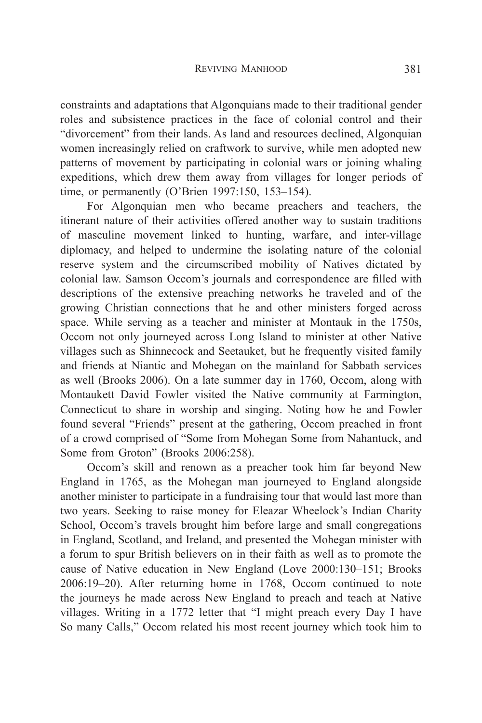constraints and adaptations that Algonquians made to their traditional gender roles and subsistence practices in the face of colonial control and their "divorcement" from their lands. As land and resources declined, Algonquian women increasingly relied on craftwork to survive, while men adopted new patterns of movement by participating in colonial wars or joining whaling expeditions, which drew them away from villages for longer periods of time, or permanently (O'Brien 1997:150, 153–154).

For Algonquian men who became preachers and teachers, the itinerant nature of their activities offered another way to sustain traditions of masculine movement linked to hunting, warfare, and inter-village diplomacy, and helped to undermine the isolating nature of the colonial reserve system and the circumscribed mobility of Natives dictated by colonial law. Samson Occom's journals and correspondence are filled with descriptions of the extensive preaching networks he traveled and of the growing Christian connections that he and other ministers forged across space. While serving as a teacher and minister at Montauk in the 1750s, Occom not only journeyed across Long Island to minister at other Native villages such as Shinnecock and Seetauket, but he frequently visited family and friends at Niantic and Mohegan on the mainland for Sabbath services as well (Brooks 2006). On a late summer day in 1760, Occom, along with Montaukett David Fowler visited the Native community at Farmington, Connecticut to share in worship and singing. Noting how he and Fowler found several "Friends" present at the gathering, Occom preached in front of a crowd comprised of "Some from Mohegan Some from Nahantuck, and Some from Groton" (Brooks 2006:258).

Occom's skill and renown as a preacher took him far beyond New England in 1765, as the Mohegan man journeyed to England alongside another minister to participate in a fundraising tour that would last more than two years. Seeking to raise money for Eleazar Wheelock's Indian Charity School, Occom's travels brought him before large and small congregations in England, Scotland, and Ireland, and presented the Mohegan minister with a forum to spur British believers on in their faith as well as to promote the cause of Native education in New England (Love 2000:130–151; Brooks 2006:19–20). After returning home in 1768, Occom continued to note the journeys he made across New England to preach and teach at Native villages. Writing in a 1772 letter that "I might preach every Day I have So many Calls," Occom related his most recent journey which took him to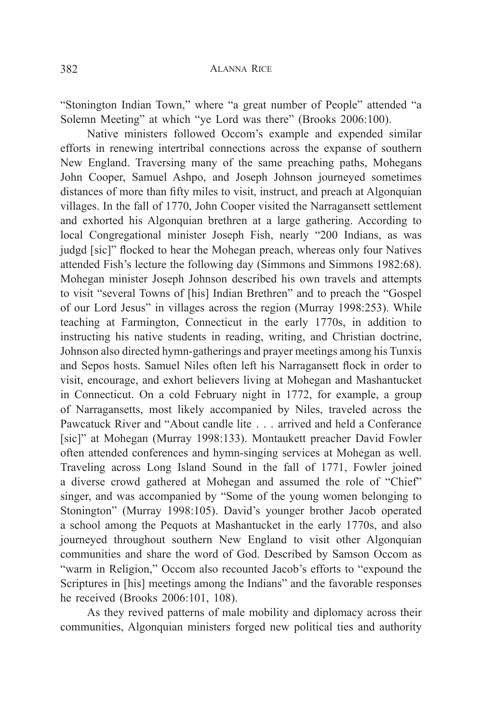"Stonington Indian Town," where "a great number of People" attended "a Solemn Meeting" at which "ye Lord was there" (Brooks 2006:100).

Native ministers followed Occom's example and expended similar efforts in renewing intertribal connections across the expanse of southern New England. Traversing many of the same preaching paths, Mohegans John Cooper, Samuel Ashpo, and Joseph Johnson journeyed sometimes distances of more than fifty miles to visit, instruct, and preach at Algonquian villages. In the fall of 1770, John Cooper visited the Narragansett settlement and exhorted his Algonquian brethren at a large gathering. According to local Congregational minister Joseph Fish, nearly "200 Indians, as was judgd [sic]" flocked to hear the Mohegan preach, whereas only four Natives attended Fish's lecture the following day (Simmons and Simmons 1982:68). Mohegan minister Joseph Johnson described his own travels and attempts to visit "several Towns of [his] Indian Brethren" and to preach the "Gospel of our Lord Jesus" in villages across the region (Murray 1998:253). While teaching at Farmington, Connecticut in the early 1770s, in addition to instructing his native students in reading, writing, and Christian doctrine, Johnson also directed hymn-gatherings and prayer meetings among his Tunxis and Sepos hosts. Samuel Niles often left his Narragansett flock in order to visit, encourage, and exhort believers living at Mohegan and Mashantucket in Connecticut. On a cold February night in 1772, for example, a group of Narragansetts, most likely accompanied by Niles, traveled across the Pawcatuck River and "About candle lite . . . arrived and held a Conferance [sic]" at Mohegan (Murray 1998:133). Montaukett preacher David Fowler often attended conferences and hymn-singing services at Mohegan as well. Traveling across Long Island Sound in the fall of 1771, Fowler joined a diverse crowd gathered at Mohegan and assumed the role of "Chief" singer, and was accompanied by "Some of the young women belonging to Stonington" (Murray 1998:105). David's younger brother Jacob operated a school among the Pequots at Mashantucket in the early 1770s, and also journeyed throughout southern New England to visit other Algonquian communities and share the word of God. Described by Samson Occom as "warm in Religion," Occom also recounted Jacob's efforts to "expound the Scriptures in [his] meetings among the Indians" and the favorable responses he received (Brooks 2006:101, 108).

As they revived patterns of male mobility and diplomacy across their communities, Algonquian ministers forged new political ties and authority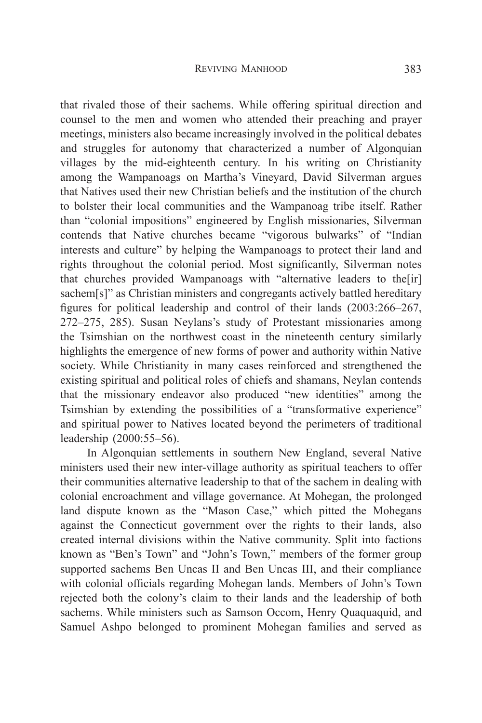that rivaled those of their sachems. While offering spiritual direction and counsel to the men and women who attended their preaching and prayer meetings, ministers also became increasingly involved in the political debates and struggles for autonomy that characterized a number of Algonquian villages by the mid-eighteenth century. In his writing on Christianity among the Wampanoags on Martha's Vineyard, David Silverman argues that Natives used their new Christian beliefs and the institution of the church to bolster their local communities and the Wampanoag tribe itself. Rather than "colonial impositions" engineered by English missionaries, Silverman contends that Native churches became "vigorous bulwarks" of "Indian interests and culture" by helping the Wampanoags to protect their land and rights throughout the colonial period. Most significantly, Silverman notes that churches provided Wampanoags with "alternative leaders to the[ir] sachem[s]" as Christian ministers and congregants actively battled hereditary figures for political leadership and control of their lands (2003:266–267, 272–275, 285). Susan Neylans's study of Protestant missionaries among the Tsimshian on the northwest coast in the nineteenth century similarly highlights the emergence of new forms of power and authority within Native society. While Christianity in many cases reinforced and strengthened the existing spiritual and political roles of chiefs and shamans, Neylan contends that the missionary endeavor also produced "new identities" among the Tsimshian by extending the possibilities of a "transformative experience" and spiritual power to Natives located beyond the perimeters of traditional leadership (2000:55–56).

In Algonquian settlements in southern New England, several Native ministers used their new inter-village authority as spiritual teachers to offer their communities alternative leadership to that of the sachem in dealing with colonial encroachment and village governance. At Mohegan, the prolonged land dispute known as the "Mason Case," which pitted the Mohegans against the Connecticut government over the rights to their lands, also created internal divisions within the Native community. Split into factions known as "Ben's Town" and "John's Town," members of the former group supported sachems Ben Uncas II and Ben Uncas III, and their compliance with colonial officials regarding Mohegan lands. Members of John's Town rejected both the colony's claim to their lands and the leadership of both sachems. While ministers such as Samson Occom, Henry Quaquaquid, and Samuel Ashpo belonged to prominent Mohegan families and served as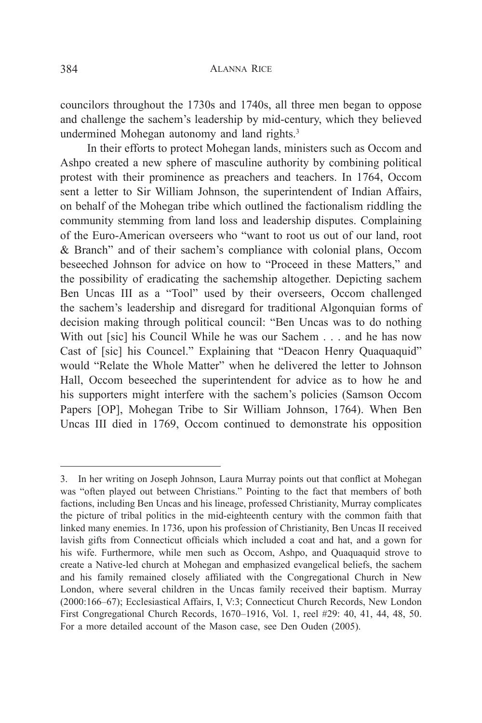councilors throughout the 1730s and 1740s, all three men began to oppose and challenge the sachem's leadership by mid-century, which they believed undermined Mohegan autonomy and land rights.<sup>3</sup>

In their efforts to protect Mohegan lands, ministers such as Occom and Ashpo created a new sphere of masculine authority by combining political protest with their prominence as preachers and teachers. In 1764, Occom sent a letter to Sir William Johnson, the superintendent of Indian Affairs, on behalf of the Mohegan tribe which outlined the factionalism riddling the community stemming from land loss and leadership disputes. Complaining of the Euro-American overseers who "want to root us out of our land, root & Branch" and of their sachem's compliance with colonial plans, Occom beseeched Johnson for advice on how to "Proceed in these Matters," and the possibility of eradicating the sachemship altogether. Depicting sachem Ben Uncas III as a "Tool" used by their overseers, Occom challenged the sachem's leadership and disregard for traditional Algonquian forms of decision making through political council: "Ben Uncas was to do nothing With out [sic] his Council While he was our Sachem . . . and he has now Cast of [sic] his Councel." Explaining that "Deacon Henry Quaquaquid" would "Relate the Whole Matter" when he delivered the letter to Johnson Hall, Occom beseeched the superintendent for advice as to how he and his supporters might interfere with the sachem's policies (Samson Occom Papers [OP], Mohegan Tribe to Sir William Johnson, 1764). When Ben Uncas III died in 1769, Occom continued to demonstrate his opposition

<sup>3.</sup> In her writing on Joseph Johnson, Laura Murray points out that conflict at Mohegan was "often played out between Christians." Pointing to the fact that members of both factions, including Ben Uncas and his lineage, professed Christianity, Murray complicates the picture of tribal politics in the mid-eighteenth century with the common faith that linked many enemies. In 1736, upon his profession of Christianity, Ben Uncas II received lavish gifts from Connecticut officials which included a coat and hat, and a gown for his wife. Furthermore, while men such as Occom, Ashpo, and Quaquaquid strove to create a Native-led church at Mohegan and emphasized evangelical beliefs, the sachem and his family remained closely affiliated with the Congregational Church in New London, where several children in the Uncas family received their baptism. Murray (2000:166–67); Ecclesiastical Affairs, I, V:3; Connecticut Church Records, New London First Congregational Church Records, 1670–1916, Vol. 1, reel #29: 40, 41, 44, 48, 50. For a more detailed account of the Mason case, see Den Ouden (2005).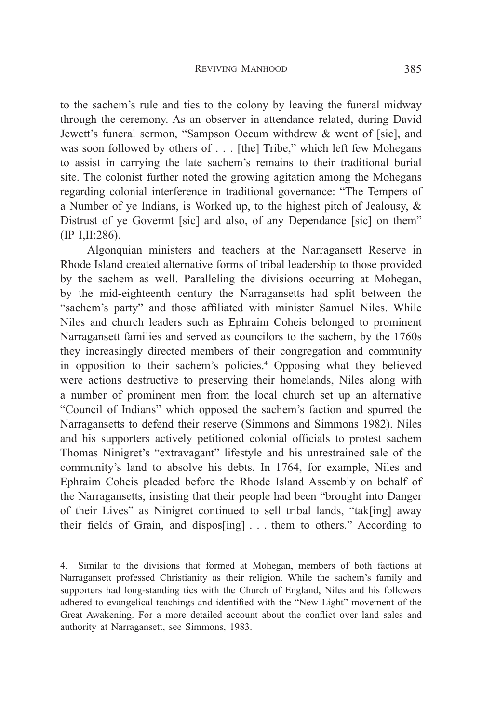to the sachem's rule and ties to the colony by leaving the funeral midway through the ceremony. As an observer in attendance related, during David Jewett's funeral sermon, "Sampson Occum withdrew & went of [sic], and was soon followed by others of . . . [the] Tribe," which left few Mohegans to assist in carrying the late sachem's remains to their traditional burial site. The colonist further noted the growing agitation among the Mohegans regarding colonial interference in traditional governance: "The Tempers of a Number of ye Indians, is Worked up, to the highest pitch of Jealousy, & Distrust of ye Govermt [sic] and also, of any Dependance [sic] on them" (IP I,II:286).

Algonquian ministers and teachers at the Narragansett Reserve in Rhode Island created alternative forms of tribal leadership to those provided by the sachem as well. Paralleling the divisions occurring at Mohegan, by the mid-eighteenth century the Narragansetts had split between the "sachem's party" and those affiliated with minister Samuel Niles. While Niles and church leaders such as Ephraim Coheis belonged to prominent Narragansett families and served as councilors to the sachem, by the 1760s they increasingly directed members of their congregation and community in opposition to their sachem's policies.<sup>4</sup> Opposing what they believed were actions destructive to preserving their homelands, Niles along with a number of prominent men from the local church set up an alternative "Council of Indians" which opposed the sachem's faction and spurred the Narragansetts to defend their reserve (Simmons and Simmons 1982). Niles and his supporters actively petitioned colonial officials to protest sachem Thomas Ninigret's "extravagant" lifestyle and his unrestrained sale of the community's land to absolve his debts. In 1764, for example, Niles and Ephraim Coheis pleaded before the Rhode Island Assembly on behalf of the Narragansetts, insisting that their people had been "brought into Danger of their Lives" as Ninigret continued to sell tribal lands, "tak[ing] away their fields of Grain, and dispos[ing] . . . them to others." According to

<sup>4.</sup> Similar to the divisions that formed at Mohegan, members of both factions at Narragansett professed Christianity as their religion. While the sachem's family and supporters had long-standing ties with the Church of England, Niles and his followers adhered to evangelical teachings and identified with the "New Light" movement of the Great Awakening. For a more detailed account about the conflict over land sales and authority at Narragansett, see Simmons, 1983.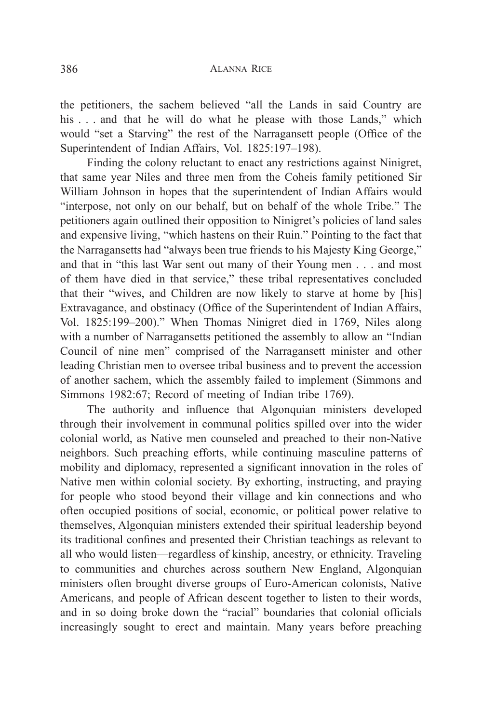the petitioners, the sachem believed "all the Lands in said Country are his . . . and that he will do what he please with those Lands," which would "set a Starving" the rest of the Narragansett people (Office of the Superintendent of Indian Affairs, Vol. 1825:197–198).

Finding the colony reluctant to enact any restrictions against Ninigret, that same year Niles and three men from the Coheis family petitioned Sir William Johnson in hopes that the superintendent of Indian Affairs would "interpose, not only on our behalf, but on behalf of the whole Tribe." The petitioners again outlined their opposition to Ninigret's policies of land sales and expensive living, "which hastens on their Ruin." Pointing to the fact that the Narragansetts had "always been true friends to his Majesty King George," and that in "this last War sent out many of their Young men . . . and most of them have died in that service," these tribal representatives concluded that their "wives, and Children are now likely to starve at home by [his] Extravagance, and obstinacy (Office of the Superintendent of Indian Affairs, Vol. 1825:199–200)." When Thomas Ninigret died in 1769, Niles along with a number of Narragansetts petitioned the assembly to allow an "Indian Council of nine men" comprised of the Narragansett minister and other leading Christian men to oversee tribal business and to prevent the accession of another sachem, which the assembly failed to implement (Simmons and Simmons 1982:67; Record of meeting of Indian tribe 1769).

The authority and influence that Algonquian ministers developed through their involvement in communal politics spilled over into the wider colonial world, as Native men counseled and preached to their non-Native neighbors. Such preaching efforts, while continuing masculine patterns of mobility and diplomacy, represented a significant innovation in the roles of Native men within colonial society. By exhorting, instructing, and praying for people who stood beyond their village and kin connections and who often occupied positions of social, economic, or political power relative to themselves, Algonquian ministers extended their spiritual leadership beyond its traditional confines and presented their Christian teachings as relevant to all who would listen—regardless of kinship, ancestry, or ethnicity. Traveling to communities and churches across southern New England, Algonquian ministers often brought diverse groups of Euro-American colonists, Native Americans, and people of African descent together to listen to their words, and in so doing broke down the "racial" boundaries that colonial officials increasingly sought to erect and maintain. Many years before preaching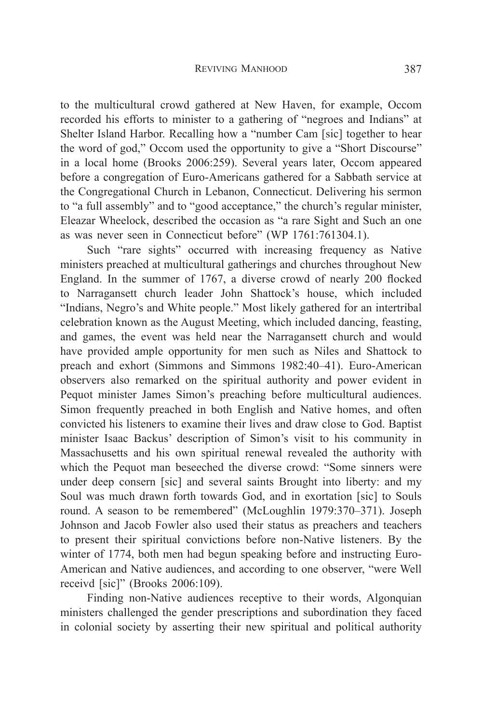to the multicultural crowd gathered at New Haven, for example, Occom recorded his efforts to minister to a gathering of "negroes and Indians" at Shelter Island Harbor. Recalling how a "number Cam [sic] together to hear the word of god," Occom used the opportunity to give a "Short Discourse" in a local home (Brooks 2006:259). Several years later, Occom appeared before a congregation of Euro-Americans gathered for a Sabbath service at the Congregational Church in Lebanon, Connecticut. Delivering his sermon to "a full assembly" and to "good acceptance," the church's regular minister, Eleazar Wheelock, described the occasion as "a rare Sight and Such an one as was never seen in Connecticut before" (WP 1761:761304.1).

Such "rare sights" occurred with increasing frequency as Native ministers preached at multicultural gatherings and churches throughout New England. In the summer of 1767, a diverse crowd of nearly 200 flocked to Narragansett church leader John Shattock's house, which included "Indians, Negro's and White people." Most likely gathered for an intertribal celebration known as the August Meeting, which included dancing, feasting, and games, the event was held near the Narragansett church and would have provided ample opportunity for men such as Niles and Shattock to preach and exhort (Simmons and Simmons 1982:40–41). Euro-American observers also remarked on the spiritual authority and power evident in Pequot minister James Simon's preaching before multicultural audiences. Simon frequently preached in both English and Native homes, and often convicted his listeners to examine their lives and draw close to God. Baptist minister Isaac Backus' description of Simon's visit to his community in Massachusetts and his own spiritual renewal revealed the authority with which the Pequot man beseeched the diverse crowd: "Some sinners were under deep consern [sic] and several saints Brought into liberty: and my Soul was much drawn forth towards God, and in exortation [sic] to Souls round. A season to be remembered" (McLoughlin 1979:370–371). Joseph Johnson and Jacob Fowler also used their status as preachers and teachers to present their spiritual convictions before non-Native listeners. By the winter of 1774, both men had begun speaking before and instructing Euro-American and Native audiences, and according to one observer, "were Well receivd [sic]" (Brooks 2006:109).

Finding non-Native audiences receptive to their words, Algonquian ministers challenged the gender prescriptions and subordination they faced in colonial society by asserting their new spiritual and political authority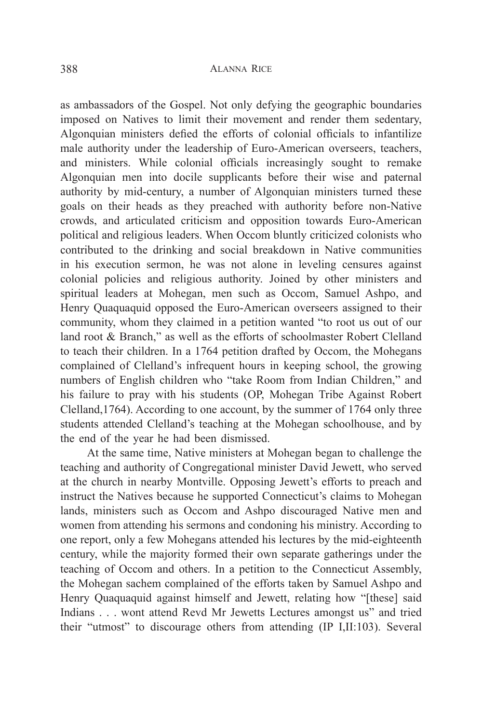as ambassadors of the Gospel. Not only defying the geographic boundaries imposed on Natives to limit their movement and render them sedentary, Algonquian ministers defied the efforts of colonial officials to infantilize male authority under the leadership of Euro-American overseers, teachers, and ministers. While colonial officials increasingly sought to remake Algonquian men into docile supplicants before their wise and paternal authority by mid-century, a number of Algonquian ministers turned these goals on their heads as they preached with authority before non-Native crowds, and articulated criticism and opposition towards Euro-American political and religious leaders. When Occom bluntly criticized colonists who contributed to the drinking and social breakdown in Native communities in his execution sermon, he was not alone in leveling censures against colonial policies and religious authority. Joined by other ministers and spiritual leaders at Mohegan, men such as Occom, Samuel Ashpo, and Henry Quaquaquid opposed the Euro-American overseers assigned to their community, whom they claimed in a petition wanted "to root us out of our land root & Branch," as well as the efforts of schoolmaster Robert Clelland to teach their children. In a 1764 petition drafted by Occom, the Mohegans complained of Clelland's infrequent hours in keeping school, the growing numbers of English children who "take Room from Indian Children," and his failure to pray with his students (OP, Mohegan Tribe Against Robert Clelland,1764). According to one account, by the summer of 1764 only three students attended Clelland's teaching at the Mohegan schoolhouse, and by the end of the year he had been dismissed.

At the same time, Native ministers at Mohegan began to challenge the teaching and authority of Congregational minister David Jewett, who served at the church in nearby Montville. Opposing Jewett's efforts to preach and instruct the Natives because he supported Connecticut's claims to Mohegan lands, ministers such as Occom and Ashpo discouraged Native men and women from attending his sermons and condoning his ministry. According to one report, only a few Mohegans attended his lectures by the mid-eighteenth century, while the majority formed their own separate gatherings under the teaching of Occom and others. In a petition to the Connecticut Assembly, the Mohegan sachem complained of the efforts taken by Samuel Ashpo and Henry Quaquaquid against himself and Jewett, relating how "[these] said Indians . . . wont attend Revd Mr Jewetts Lectures amongst us" and tried their "utmost" to discourage others from attending (IP I,II:103). Several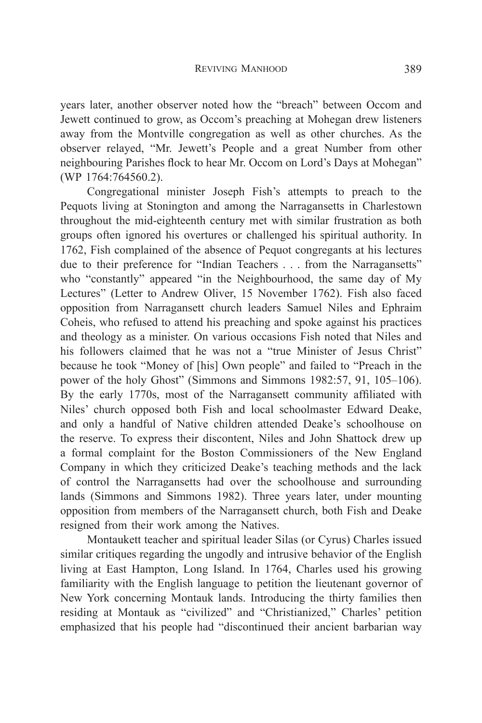years later, another observer noted how the "breach" between Occom and Jewett continued to grow, as Occom's preaching at Mohegan drew listeners away from the Montville congregation as well as other churches. As the observer relayed, "Mr. Jewett's People and a great Number from other neighbouring Parishes flock to hear Mr. Occom on Lord's Days at Mohegan" (WP 1764:764560.2).

Congregational minister Joseph Fish's attempts to preach to the Pequots living at Stonington and among the Narragansetts in Charlestown throughout the mid-eighteenth century met with similar frustration as both groups often ignored his overtures or challenged his spiritual authority. In 1762, Fish complained of the absence of Pequot congregants at his lectures due to their preference for "Indian Teachers . . . from the Narragansetts" who "constantly" appeared "in the Neighbourhood, the same day of My Lectures" (Letter to Andrew Oliver, 15 November 1762). Fish also faced opposition from Narragansett church leaders Samuel Niles and Ephraim Coheis, who refused to attend his preaching and spoke against his practices and theology as a minister. On various occasions Fish noted that Niles and his followers claimed that he was not a "true Minister of Jesus Christ" because he took "Money of [his] Own people" and failed to "Preach in the power of the holy Ghost" (Simmons and Simmons 1982:57, 91, 105–106). By the early 1770s, most of the Narragansett community affiliated with Niles' church opposed both Fish and local schoolmaster Edward Deake, and only a handful of Native children attended Deake's schoolhouse on the reserve. To express their discontent, Niles and John Shattock drew up a formal complaint for the Boston Commissioners of the New England Company in which they criticized Deake's teaching methods and the lack of control the Narragansetts had over the schoolhouse and surrounding lands (Simmons and Simmons 1982). Three years later, under mounting opposition from members of the Narragansett church, both Fish and Deake resigned from their work among the Natives.

Montaukett teacher and spiritual leader Silas (or Cyrus) Charles issued similar critiques regarding the ungodly and intrusive behavior of the English living at East Hampton, Long Island. In 1764, Charles used his growing familiarity with the English language to petition the lieutenant governor of New York concerning Montauk lands. Introducing the thirty families then residing at Montauk as "civilized" and "Christianized," Charles' petition emphasized that his people had "discontinued their ancient barbarian way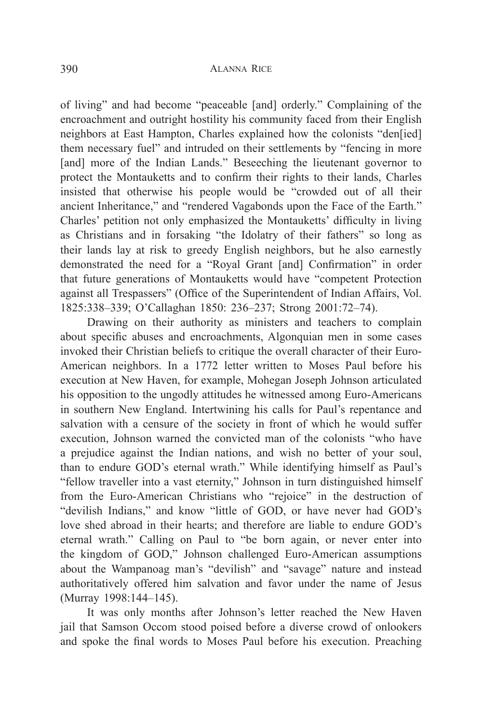of living" and had become "peaceable [and] orderly." Complaining of the encroachment and outright hostility his community faced from their English neighbors at East Hampton, Charles explained how the colonists "den[ied] them necessary fuel" and intruded on their settlements by "fencing in more [and] more of the Indian Lands." Beseeching the lieutenant governor to protect the Montauketts and to confirm their rights to their lands, Charles insisted that otherwise his people would be "crowded out of all their ancient Inheritance," and "rendered Vagabonds upon the Face of the Earth." Charles' petition not only emphasized the Montauketts' difficulty in living as Christians and in forsaking "the Idolatry of their fathers" so long as their lands lay at risk to greedy English neighbors, but he also earnestly demonstrated the need for a "Royal Grant [and] Confirmation" in order that future generations of Montauketts would have "competent Protection against all Trespassers" (Office of the Superintendent of Indian Affairs, Vol. 1825:338–339; O'Callaghan 1850: 236–237; Strong 2001:72–74).

Drawing on their authority as ministers and teachers to complain about specific abuses and encroachments, Algonquian men in some cases invoked their Christian beliefs to critique the overall character of their Euro-American neighbors. In a 1772 letter written to Moses Paul before his execution at New Haven, for example, Mohegan Joseph Johnson articulated his opposition to the ungodly attitudes he witnessed among Euro-Americans in southern New England. Intertwining his calls for Paul's repentance and salvation with a censure of the society in front of which he would suffer execution, Johnson warned the convicted man of the colonists "who have a prejudice against the Indian nations, and wish no better of your soul, than to endure GOD's eternal wrath." While identifying himself as Paul's "fellow traveller into a vast eternity," Johnson in turn distinguished himself from the Euro-American Christians who "rejoice" in the destruction of "devilish Indians," and know "little of GOD, or have never had GOD's love shed abroad in their hearts; and therefore are liable to endure GOD's eternal wrath." Calling on Paul to "be born again, or never enter into the kingdom of GOD," Johnson challenged Euro-American assumptions about the Wampanoag man's "devilish" and "savage" nature and instead authoritatively offered him salvation and favor under the name of Jesus (Murray 1998:144–145).

It was only months after Johnson's letter reached the New Haven jail that Samson Occom stood poised before a diverse crowd of onlookers and spoke the final words to Moses Paul before his execution. Preaching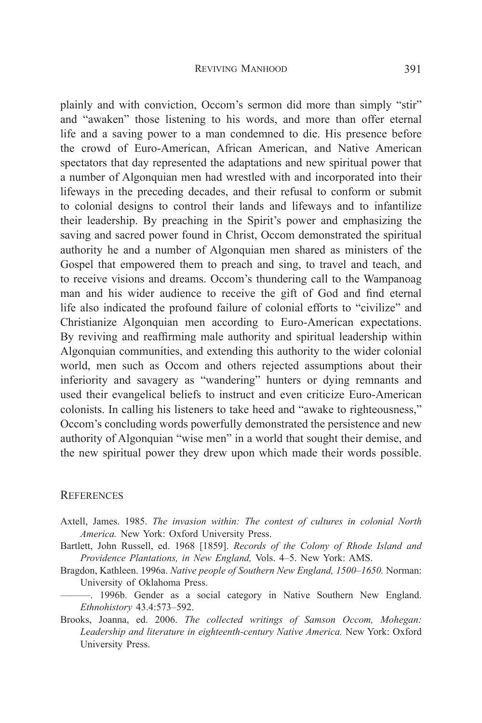plainly and with conviction, Occom's sermon did more than simply "stir" and "awaken" those listening to his words, and more than offer eternal life and a saving power to a man condemned to die. His presence before the crowd of Euro-American, African American, and Native American spectators that day represented the adaptations and new spiritual power that a number of Algonquian men had wrestled with and incorporated into their lifeways in the preceding decades, and their refusal to conform or submit to colonial designs to control their lands and lifeways and to infantilize their leadership. By preaching in the Spirit's power and emphasizing the saving and sacred power found in Christ, Occom demonstrated the spiritual authority he and a number of Algonquian men shared as ministers of the Gospel that empowered them to preach and sing, to travel and teach, and to receive visions and dreams. Occom's thundering call to the Wampanoag man and his wider audience to receive the gift of God and find eternal life also indicated the profound failure of colonial efforts to "civilize" and Christianize Algonquian men according to Euro-American expectations. By reviving and reaffirming male authority and spiritual leadership within Algonquian communities, and extending this authority to the wider colonial world, men such as Occom and others rejected assumptions about their inferiority and savagery as "wandering" hunters or dying remnants and used their evangelical beliefs to instruct and even criticize Euro-American colonists. In calling his listeners to take heed and "awake to righteousness," Occom's concluding words powerfully demonstrated the persistence and new authority of Algonquian "wise men" in a world that sought their demise, and the new spiritual power they drew upon which made their words possible.

### **REFERENCES**

- Axtell, James. 1985. *The invasion within: The contest of cultures in colonial North America.* New York: Oxford University Press.
- Bartlett, John Russell, ed. 1968 [1859]. *Records of the Colony of Rhode Island and Providence Plantations, in New England,* Vols. 4–5. New York: AMS.
- Bragdon, Kathleen. 1996a. *Native people of Southern New England, 1500*–*1650.* Norman: University of Oklahoma Press.
- ———. 1996b. Gender as a social category in Native Southern New England. *Ethnohistory* 43.4:573–592.
- Brooks, Joanna, ed. 2006. *The collected writings of Samson Occom, Mohegan: Leadership and literature in eighteenth-century Native America.* New York: Oxford University Press.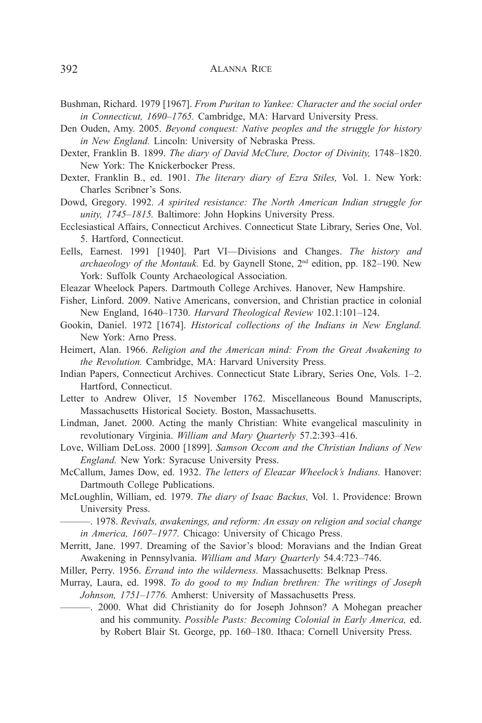- Bushman, Richard. 1979 [1967]. *From Puritan to Yankee: Character and the social order in Connecticut, 1690*–*1765.* Cambridge, MA: Harvard University Press.
- Den Ouden, Amy. 2005. *Beyond conquest: Native peoples and the struggle for history in New England.* Lincoln: University of Nebraska Press.
- Dexter, Franklin B. 1899. *The diary of David McClure, Doctor of Divinity,* 1748–1820. New York: The Knickerbocker Press.
- Dexter, Franklin B., ed. 1901. *The literary diary of Ezra Stiles,* Vol. 1. New York: Charles Scribner's Sons.
- Dowd, Gregory. 1992. *A spirited resistance: The North American Indian struggle for unity, 1745*–*1815.* Baltimore: John Hopkins University Press.
- Ecclesiastical Affairs, Connecticut Archives. Connecticut State Library, Series One, Vol. 5. Hartford, Connecticut.
- Eells, Earnest. 1991 [1940]. Part VI—Divisions and Changes. *The history and archaeology of the Montauk.* Ed. by Gaynell Stone, 2nd edition, pp. 182–190. New York: Suffolk County Archaeological Association.
- Eleazar Wheelock Papers. Dartmouth College Archives. Hanover, New Hampshire.
- Fisher, Linford. 2009. Native Americans, conversion, and Christian practice in colonial New England, 1640–1730. *Harvard Theological Review* 102.1:101–124.
- Gookin, Daniel. 1972 [1674]. *Historical collections of the Indians in New England.* New York: Arno Press.
- Heimert, Alan. 1966. *Religion and the American mind: From the Great Awakening to the Revolution.* Cambridge, MA: Harvard University Press.
- Indian Papers, Connecticut Archives. Connecticut State Library, Series One, Vols. 1–2. Hartford, Connecticut.
- Letter to Andrew Oliver, 15 November 1762. Miscellaneous Bound Manuscripts, Massachusetts Historical Society. Boston, Massachusetts.
- Lindman, Janet. 2000. Acting the manly Christian: White evangelical masculinity in revolutionary Virginia. *William and Mary Quarterly* 57.2:393–416.
- Love, William DeLoss. 2000 [1899]. *Samson Occom and the Christian Indians of New England.* New York: Syracuse University Press.
- McCallum, James Dow, ed. 1932. *The letters of Eleazar Wheelock's Indians.* Hanover: Dartmouth College Publications.
- McLoughlin, William, ed. 1979. *The diary of Isaac Backus,* Vol. 1. Providence: Brown University Press.
	- ———. 1978. *Revivals, awakenings, and reform: An essay on religion and social change in America, 1607*–*1977.* Chicago: University of Chicago Press.
- Merritt, Jane. 1997. Dreaming of the Savior's blood: Moravians and the Indian Great Awakening in Pennsylvania. *William and Mary Quarterly* 54.4:723–746.
- Miller, Perry. 1956. *Errand into the wilderness.* Massachusetts: Belknap Press.
- Murray, Laura, ed. 1998. *To do good to my Indian brethren: The writings of Joseph Johnson, 1751*–*1776.* Amherst: University of Massachusetts Press.
- ———. 2000. What did Christianity do for Joseph Johnson? A Mohegan preacher and his community. *Possible Pasts: Becoming Colonial in Early America,* ed. by Robert Blair St. George, pp. 160–180. Ithaca: Cornell University Press.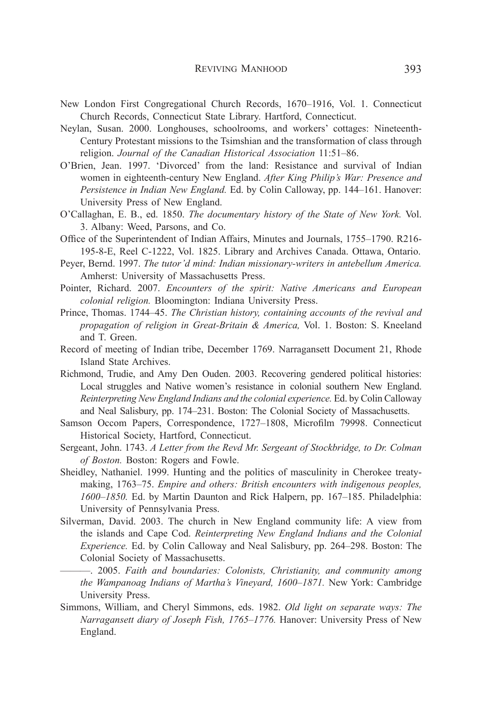- New London First Congregational Church Records, 1670–1916, Vol. 1. Connecticut Church Records, Connecticut State Library. Hartford, Connecticut.
- Neylan, Susan. 2000. Longhouses, schoolrooms, and workers' cottages: Nineteenth-Century Protestant missions to the Tsimshian and the transformation of class through religion. *Journal of the Canadian Historical Association* 11:51–86.
- O'Brien, Jean. 1997. 'Divorced' from the land: Resistance and survival of Indian women in eighteenth-century New England. *After King Philip's War: Presence and Persistence in Indian New England.* Ed. by Colin Calloway, pp. 144–161. Hanover: University Press of New England.
- O'Callaghan, E. B., ed. 1850. *The documentary history of the State of New York.* Vol. 3. Albany: Weed, Parsons, and Co.
- Office of the Superintendent of Indian Affairs, Minutes and Journals, 1755–1790. R216- 195-8-E, Reel C-1222, Vol. 1825. Library and Archives Canada. Ottawa, Ontario.
- Peyer, Bernd. 1997. *The tutor'd mind: Indian missionary-writers in antebellum America.* Amherst: University of Massachusetts Press.
- Pointer, Richard. 2007. *Encounters of the spirit: Native Americans and European colonial religion.* Bloomington: Indiana University Press.
- Prince, Thomas. 1744–45. *The Christian history, containing accounts of the revival and propagation of religion in Great-Britain & America,* Vol. 1. Boston: S. Kneeland and T. Green.
- Record of meeting of Indian tribe, December 1769. Narragansett Document 21, Rhode Island State Archives.
- Richmond, Trudie, and Amy Den Ouden. 2003. Recovering gendered political histories: Local struggles and Native women's resistance in colonial southern New England. *Reinterpreting New England Indians and the colonial experience.* Ed. by Colin Calloway and Neal Salisbury, pp. 174–231. Boston: The Colonial Society of Massachusetts.
- Samson Occom Papers, Correspondence, 1727–1808, Microfilm 79998. Connecticut Historical Society, Hartford, Connecticut.
- Sergeant, John. 1743. *A Letter from the Revd Mr. Sergeant of Stockbridge, to Dr. Colman of Boston.* Boston: Rogers and Fowle.
- Sheidley, Nathaniel. 1999. Hunting and the politics of masculinity in Cherokee treatymaking, 1763–75. *Empire and others: British encounters with indigenous peoples, 1600–1850.* Ed. by Martin Daunton and Rick Halpern, pp. 167–185. Philadelphia: University of Pennsylvania Press.
- Silverman, David. 2003. The church in New England community life: A view from the islands and Cape Cod. *Reinterpreting New England Indians and the Colonial Experience.* Ed. by Colin Calloway and Neal Salisbury, pp. 264–298. Boston: The Colonial Society of Massachusetts.
	- ———. 2005. *Faith and boundaries: Colonists, Christianity, and community among the Wampanoag Indians of Martha's Vineyard, 1600*–*1871.* New York: Cambridge University Press.
- Simmons, William, and Cheryl Simmons, eds. 1982. *Old light on separate ways: The Narragansett diary of Joseph Fish, 1765*–*1776.* Hanover: University Press of New England.